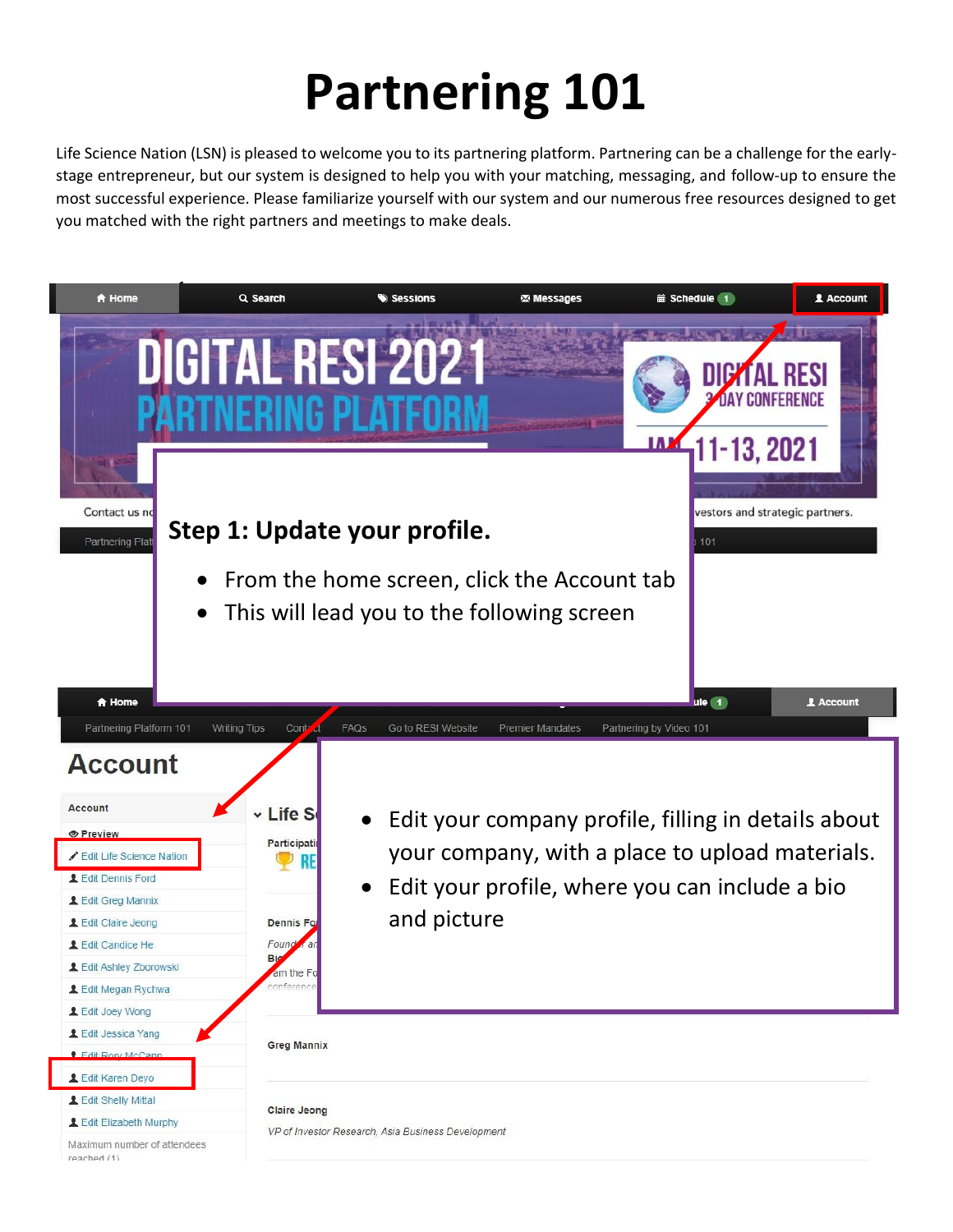# **Partnering 101**

Life Science Nation (LSN) is pleased to welcome you to its partnering platform. Partnering can be a challenge for the earlystage entrepreneur, but our system is designed to help you with your matching, messaging, and follow-up to ensure the most successful experience. Please familiarize yourself with our system and our numerous free resources designed to get you matched with the right partners and meetings to make deals.

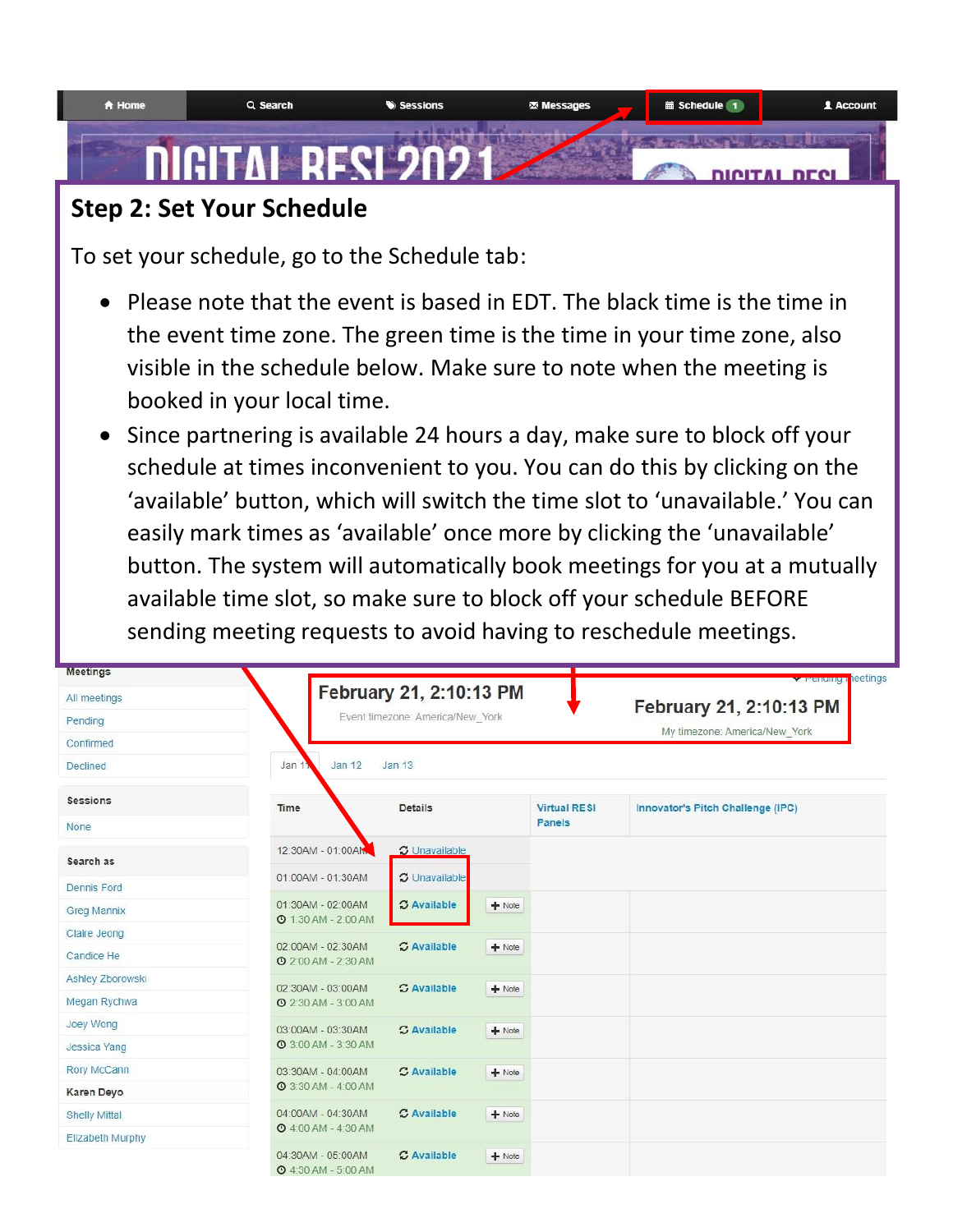

# **Step 2: Set Your Schedule**

To set your schedule, go to the Schedule tab:

- Please note that the event is based in EDT. The black time is the time in the event time zone. The green time is the time in your time zone, also visible in the schedule below. Make sure to note when the meeting is booked in your local time.
- Since partnering is available 24 hours a day, make sure to block off your schedule at times inconvenient to you. You can do this by clicking on the 'available' button, which will switch the time slot to 'unavailable.' You can easily mark times as 'available' once more by clicking the 'unavailable' button. The system will automatically book meetings for you at a mutually available time slot, so make sure to block off your schedule BEFORE sending meeting requests to avoid having to reschedule meetings.

| <b>Meetings</b>      |                                                 |                                  |                     | <b>Verenumun</b> leetings         |
|----------------------|-------------------------------------------------|----------------------------------|---------------------|-----------------------------------|
| All meetings         |                                                 | February 21, 2:10:13 PM          |                     | February 21, 2:10:13 PM           |
| Pending              |                                                 | Event timezone: America/New York |                     | My timezone: America/New York     |
| Confirmed            |                                                 |                                  |                     |                                   |
| <b>Declined</b>      | Jan 1<br>Jan 12                                 | <b>Jan 13</b>                    |                     |                                   |
| <b>Sessions</b>      | Time                                            | <b>Details</b>                   | <b>Virtual RESI</b> | Innovator's Pitch Challenge (IPC) |
| None                 |                                                 |                                  | <b>Panels</b>       |                                   |
| Search as            | 12:30AM - 01:00AM                               | <b>C</b> Unavailable             |                     |                                   |
| <b>Dennis Ford</b>   | 01:00AM - 01:30AM                               | <b>C</b> Unavailable             |                     |                                   |
| <b>Greg Mannix</b>   | 01:30AM - 02:00AM                               | <b>C</b> Available               | $+$ Note            |                                   |
| Claire Jeong         | <b>@ 1:30 AM - 2:00 AM</b>                      |                                  |                     |                                   |
| Candice He           | 02:00AM - 02:30AM<br><b>@ 2:00 AM - 2:30 AM</b> | <b>C</b> Available               | $+$ Note            |                                   |
| Ashley Zborowski     | 02:30AM - 03:00AM                               | <b>C</b> Available               | $+$ Note            |                                   |
| Megan Rychwa         | <b>@</b> 2:30 AM - 3:00 AM                      |                                  |                     |                                   |
| Joey Wong            | 03:00AM - 03:30AM                               | <b>C</b> Available               | $+$ Note            |                                   |
| <b>Jessica Yang</b>  | <b>@ 3:00 AM - 3:30 AM</b>                      |                                  |                     |                                   |
| Rory McCann          | 03:30AM - 04:00AM                               | C Available                      | $+$ Note            |                                   |
| Karen Deyo           | <b>@ 3:30 AM - 4:00 AM</b>                      |                                  |                     |                                   |
| <b>Shelly Mittal</b> | 04:00AM - 04:30AM                               | <b>C</b> Available               | $+$ Note            |                                   |
| Elizabeth Murphy     | <b>Q</b> 4:00 AM - 4:30 AM                      |                                  |                     |                                   |
|                      | 04:30AM - 05:00AM<br><b>@</b> 4:30 AM - 5:00 AM | <b>C</b> Available               | $+$ Note            |                                   |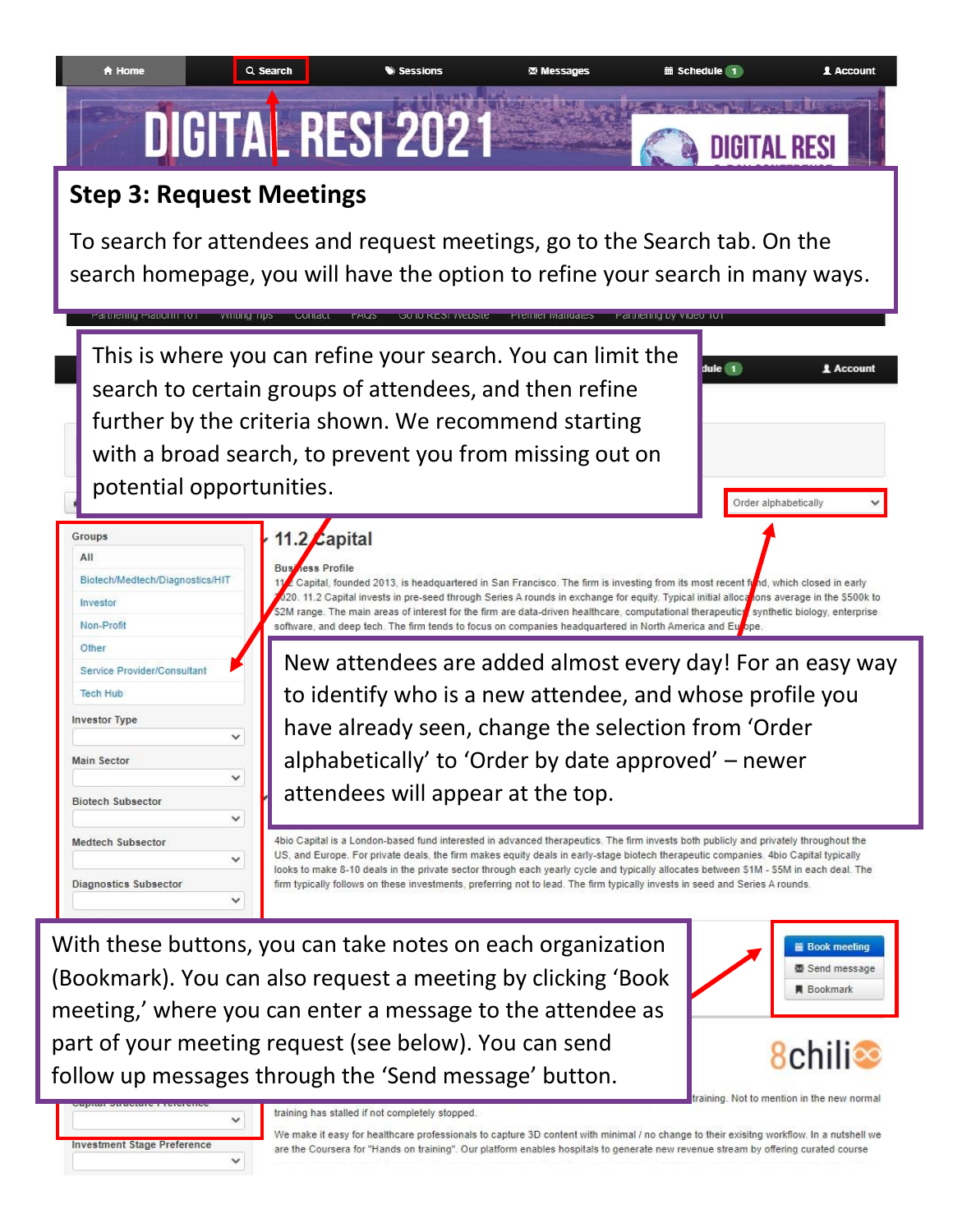

# **Step 3: Request Meetings**

1 To search for attendees and request meetings, go to the Search tab. On the search homepage, you will have the option to refine your search in many ways.



With these buttons, you can take notes on each organization (Bookmark). You can also request a meeting by clicking 'Book meeting,' where you can enter a message to the attendee as part of your meeting request (see below). You can send follow up messages through the 'Send message' button.



training. Not to mention in the new normal



training has stalled if not completely stopped.

We make it easy for healthcare professionals to capture 3D content with minimal / no change to their exisitng workflow. In a nutshell we are the Coursera for "Hands on training". Our platform enables hospitals to generate new revenue stream by offering curated course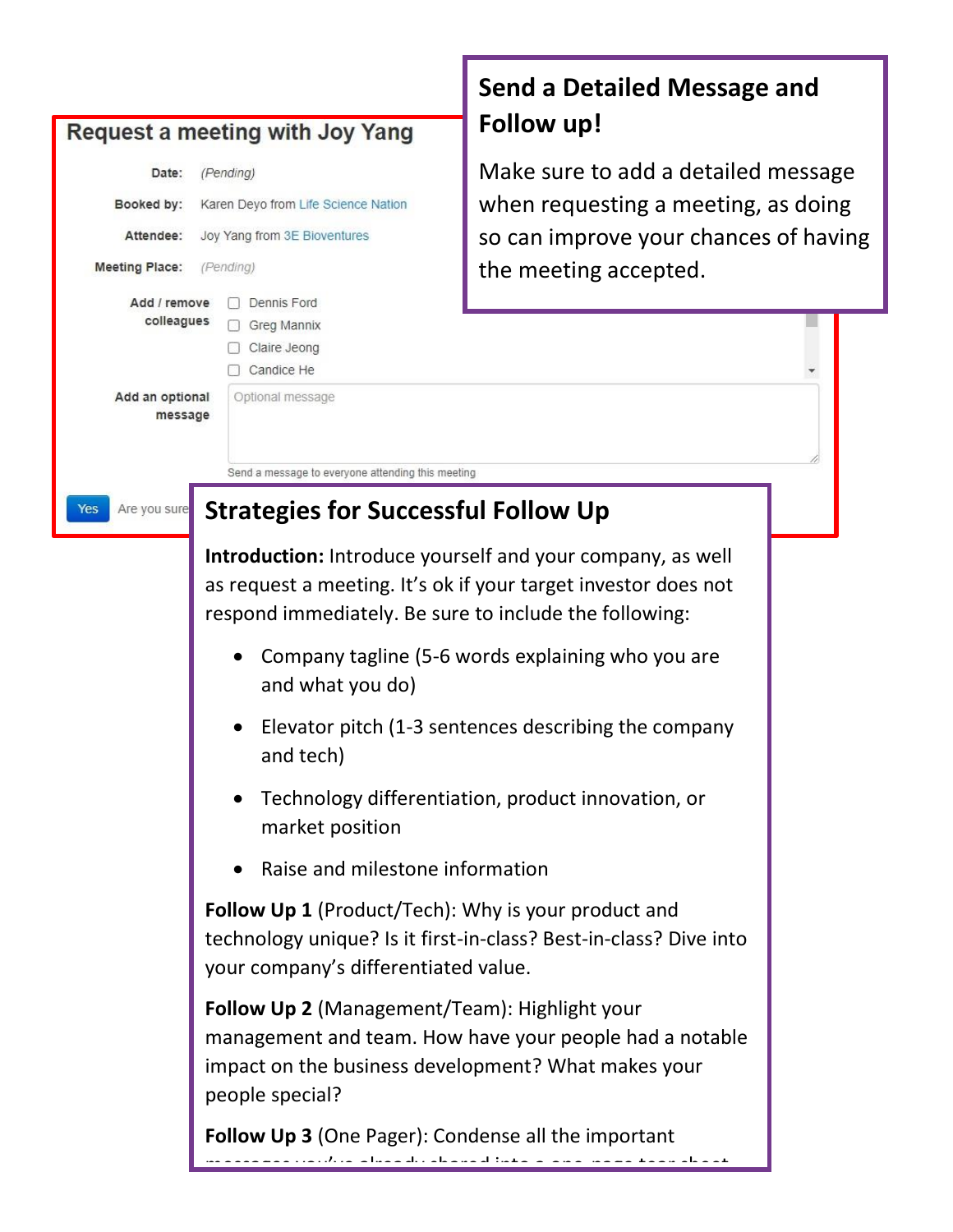|                                                          | Request a meeting with Joy Yang                                                                                                                                                                                                                                        | <b>Send a Detailed Message and</b><br>Follow up!     |  |  |  |
|----------------------------------------------------------|------------------------------------------------------------------------------------------------------------------------------------------------------------------------------------------------------------------------------------------------------------------------|------------------------------------------------------|--|--|--|
| Date:                                                    | (Pending)                                                                                                                                                                                                                                                              | Make sure to add a detailed message                  |  |  |  |
| Booked by:                                               | Karen Deyo from Life Science Nation                                                                                                                                                                                                                                    | when requesting a meeting, as doing                  |  |  |  |
| Attendee:                                                | Joy Yang from 3E Bioventures                                                                                                                                                                                                                                           | so can improve your chances of having                |  |  |  |
| <b>Meeting Place:</b>                                    | (Pending)                                                                                                                                                                                                                                                              | the meeting accepted.                                |  |  |  |
| Add / remove<br>colleagues<br>Add an optional<br>message | Dennis Ford<br>Greg Mannix<br>Claire Jeong<br>Candice He<br>Optional message                                                                                                                                                                                           |                                                      |  |  |  |
|                                                          | Send a message to everyone attending this meeting                                                                                                                                                                                                                      |                                                      |  |  |  |
| Are you sure<br>Yes                                      | <b>Strategies for Successful Follow Up</b>                                                                                                                                                                                                                             |                                                      |  |  |  |
|                                                          | <b>Introduction:</b> Introduce yourself and your company, as well<br>as request a meeting. It's ok if your target investor does not<br>respond immediately. Be sure to include the following:<br>Company tagline (5-6 words explaining who you are<br>and what you do) |                                                      |  |  |  |
|                                                          | and tech)                                                                                                                                                                                                                                                              | Elevator pitch (1-3 sentences describing the company |  |  |  |
|                                                          | Technology differentiation, product innovation, or<br>market position<br>Raise and milestone information<br>$\bullet$                                                                                                                                                  |                                                      |  |  |  |
|                                                          |                                                                                                                                                                                                                                                                        |                                                      |  |  |  |
|                                                          | <b>Follow Up 1</b> (Product/Tech): Why is your product and<br>technology unique? Is it first-in-class? Best-in-class? Dive into<br>your company's differentiated value.                                                                                                |                                                      |  |  |  |
|                                                          | Follow Up 2 (Management/Team): Highlight your<br>management and team. How have your people had a notable<br>impact on the business development? What makes your<br>people special?                                                                                     |                                                      |  |  |  |
|                                                          | Follow Up 3 (One Pager): Condense all the important                                                                                                                                                                                                                    |                                                      |  |  |  |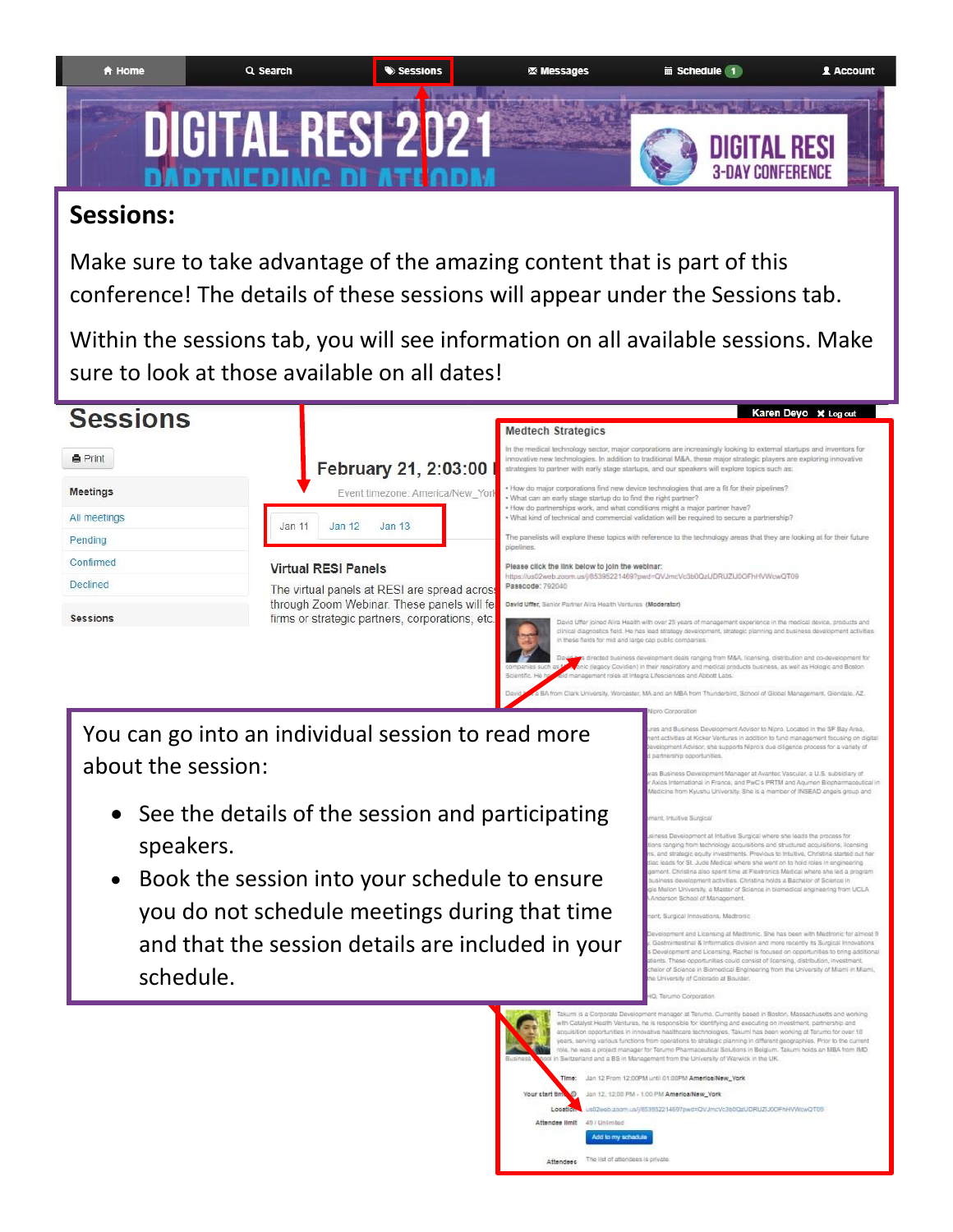

## **Sessions:**

Make sure to take advantage of the amazing content that is part of this conference! The details of these sessions will appear under the Sessions tab.

Within the sessions tab, you will see information on all available sessions. Make sure to look at those available on all dates!



You can go into an individual session to read more about the session:

- See the details of the session and participating speakers.
- Book the session into your schedule to ensure you do not schedule meetings during that time and that the session details are included in your schedule.

### d Business Development Advisor to Nioro, Located in the SF Bay Area e us suare associations are constant in repro-subsequent in the or that yours.<br>complete at Kicker Ventures in addition to fund management flocusing on dig<br>perment Advisor, she supports Nipro's due diligence process for a v

ster, MA and an MBA from Thunderbird, School of Global Management, Glendale, AZ

Business Development Manager at Avantec Vascular, a U.S. subsidiary of s International in France, and PwC's PRTM and Agumen Biopharm shu University. She is a m ber of INSEAD angels group and

ent at Intuitive Surgical where she leads the orocess for ia Lenvergement al imiumo sorgical women she maiss in process for<br>carging from facherology acquisitions and shuthund acquisitions, itsensing<br>and strategic equity investments. Previous to Intuitive, Christina started out he as development activities. Christina holds a Bachelor of Science i on University, a Master of Science in blomedical engineering from UCLA School of Manageme

and Licensing at Medtronic. She has been with Medtronic for almost 5 stinal & Informatics division and more recently its Surgical Innovations esiminesiste a mummable under a factor and many to experime minimizers and Licensing, Rachai is focused on opportunities to bring addition<br>Its. These opportunities could consist of licensing, distribution, investment,<br>or o University of Colorado at Boulder

#### vskin